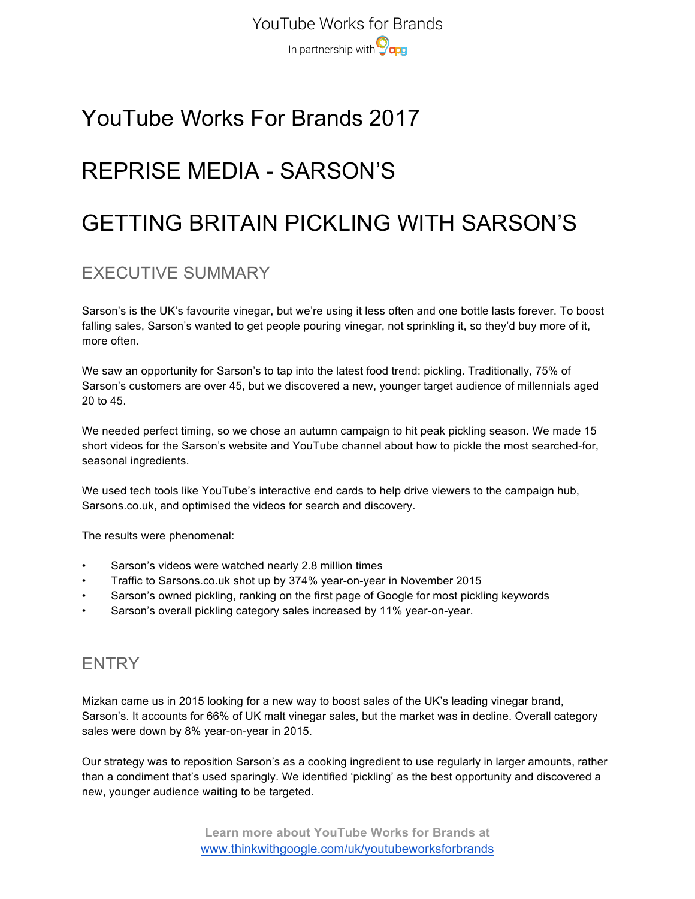## YouTube Works For Brands 2017

# REPRISE MEDIA - SARSON'S

# GETTING BRITAIN PICKLING WITH SARSON'S

## EXECUTIVE SUMMARY

Sarson's is the UK's favourite vinegar, but we're using it less often and one bottle lasts forever. To boost falling sales, Sarson's wanted to get people pouring vinegar, not sprinkling it, so they'd buy more of it, more often.

We saw an opportunity for Sarson's to tap into the latest food trend: pickling. Traditionally, 75% of Sarson's customers are over 45, but we discovered a new, younger target audience of millennials aged 20 to 45.

We needed perfect timing, so we chose an autumn campaign to hit peak pickling season. We made 15 short videos for the Sarson's website and YouTube channel about how to pickle the most searched-for, seasonal ingredients.

We used tech tools like YouTube's interactive end cards to help drive viewers to the campaign hub, Sarsons.co.uk, and optimised the videos for search and discovery.

The results were phenomenal:

- Sarson's videos were watched nearly 2.8 million times
- Traffic to Sarsons.co.uk shot up by 374% year-on-year in November 2015
- Sarson's owned pickling, ranking on the first page of Google for most pickling keywords
- Sarson's overall pickling category sales increased by 11% year-on-year.

### **FNTRY**

Mizkan came us in 2015 looking for a new way to boost sales of the UK's leading vinegar brand, Sarson's. It accounts for 66% of UK malt vinegar sales, but the market was in decline. Overall category sales were down by 8% year-on-year in 2015.

Our strategy was to reposition Sarson's as a cooking ingredient to use regularly in larger amounts, rather than a condiment that's used sparingly. We identified 'pickling' as the best opportunity and discovered a new, younger audience waiting to be targeted.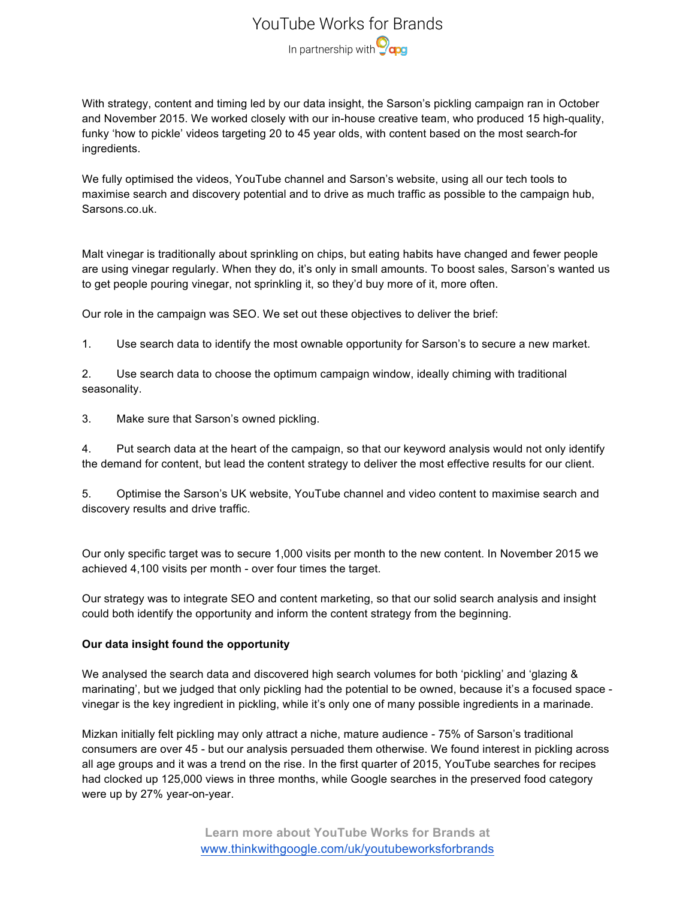### YouTube Works for Brands In partnership with **Ocaps**

With strategy, content and timing led by our data insight, the Sarson's pickling campaign ran in October and November 2015. We worked closely with our in-house creative team, who produced 15 high-quality, funky 'how to pickle' videos targeting 20 to 45 year olds, with content based on the most search-for ingredients.

We fully optimised the videos, YouTube channel and Sarson's website, using all our tech tools to maximise search and discovery potential and to drive as much traffic as possible to the campaign hub, Sarsons.co.uk.

Malt vinegar is traditionally about sprinkling on chips, but eating habits have changed and fewer people are using vinegar regularly. When they do, it's only in small amounts. To boost sales, Sarson's wanted us to get people pouring vinegar, not sprinkling it, so they'd buy more of it, more often.

Our role in the campaign was SEO. We set out these objectives to deliver the brief:

1. Use search data to identify the most ownable opportunity for Sarson's to secure a new market.

2. Use search data to choose the optimum campaign window, ideally chiming with traditional seasonality.

3. Make sure that Sarson's owned pickling.

4. Put search data at the heart of the campaign, so that our keyword analysis would not only identify the demand for content, but lead the content strategy to deliver the most effective results for our client.

5. Optimise the Sarson's UK website, YouTube channel and video content to maximise search and discovery results and drive traffic.

Our only specific target was to secure 1,000 visits per month to the new content. In November 2015 we achieved 4,100 visits per month - over four times the target.

Our strategy was to integrate SEO and content marketing, so that our solid search analysis and insight could both identify the opportunity and inform the content strategy from the beginning.

#### **Our data insight found the opportunity**

We analysed the search data and discovered high search volumes for both 'pickling' and 'glazing & marinating', but we judged that only pickling had the potential to be owned, because it's a focused space vinegar is the key ingredient in pickling, while it's only one of many possible ingredients in a marinade.

Mizkan initially felt pickling may only attract a niche, mature audience - 75% of Sarson's traditional consumers are over 45 - but our analysis persuaded them otherwise. We found interest in pickling across all age groups and it was a trend on the rise. In the first quarter of 2015, YouTube searches for recipes had clocked up 125,000 views in three months, while Google searches in the preserved food category were up by 27% year-on-year.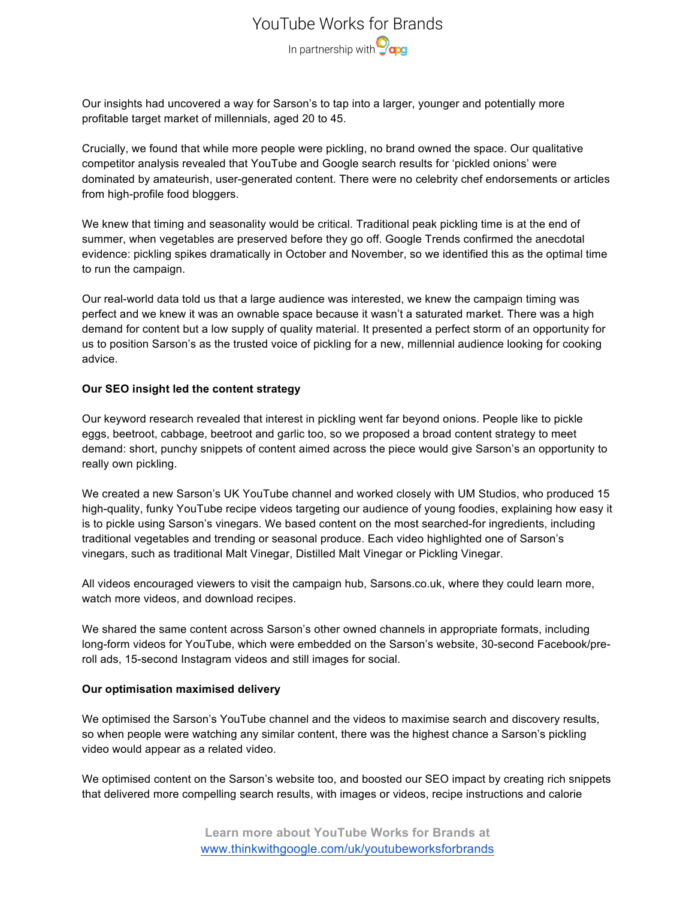## YouTube Works for Brands In partnership with **O<sub>cpg</sub>**

Our insights had uncovered a way for Sarson's to tap into a larger, younger and potentially more profitable target market of millennials, aged 20 to 45.

Crucially, we found that while more people were pickling, no brand owned the space. Our qualitative competitor analysis revealed that YouTube and Google search results for 'pickled onions' were dominated by amateurish, user-generated content. There were no celebrity chef endorsements or articles from high-profile food bloggers.

We knew that timing and seasonality would be critical. Traditional peak pickling time is at the end of summer, when vegetables are preserved before they go off. Google Trends confirmed the anecdotal evidence: pickling spikes dramatically in October and November, so we identified this as the optimal time to run the campaign.

Our real-world data told us that a large audience was interested, we knew the campaign timing was perfect and we knew it was an ownable space because it wasn't a saturated market. There was a high demand for content but a low supply of quality material. It presented a perfect storm of an opportunity for us to position Sarson's as the trusted voice of pickling for a new, millennial audience looking for cooking advice.

#### **Our SEO insight led the content strategy**

Our keyword research revealed that interest in pickling went far beyond onions. People like to pickle eggs, beetroot, cabbage, beetroot and garlic too, so we proposed a broad content strategy to meet demand: short, punchy snippets of content aimed across the piece would give Sarson's an opportunity to really own pickling.

We created a new Sarson's UK YouTube channel and worked closely with UM Studios, who produced 15 high-quality, funky YouTube recipe videos targeting our audience of young foodies, explaining how easy it is to pickle using Sarson's vinegars. We based content on the most searched-for ingredients, including traditional vegetables and trending or seasonal produce. Each video highlighted one of Sarson's vinegars, such as traditional Malt Vinegar, Distilled Malt Vinegar or Pickling Vinegar.

All videos encouraged viewers to visit the campaign hub, Sarsons.co.uk, where they could learn more, watch more videos, and download recipes.

We shared the same content across Sarson's other owned channels in appropriate formats, including long-form videos for YouTube, which were embedded on the Sarson's website, 30-second Facebook/preroll ads, 15-second Instagram videos and still images for social.

#### **Our optimisation maximised delivery**

We optimised the Sarson's YouTube channel and the videos to maximise search and discovery results, so when people were watching any similar content, there was the highest chance a Sarson's pickling video would appear as a related video.

We optimised content on the Sarson's website too, and boosted our SEO impact by creating rich snippets that delivered more compelling search results, with images or videos, recipe instructions and calorie